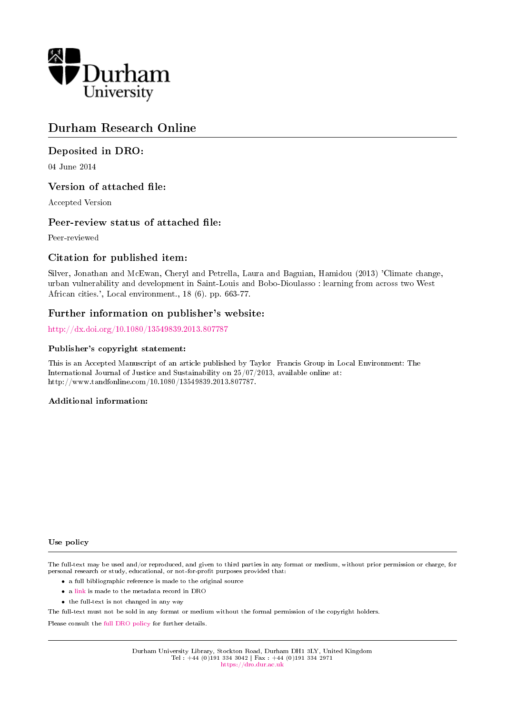

## Durham Research Online

## Deposited in DRO:

04 June 2014

## Version of attached file:

Accepted Version

## Peer-review status of attached file:

Peer-reviewed

## Citation for published item:

Silver, Jonathan and McEwan, Cheryl and Petrella, Laura and Baguian, Hamidou (2013) 'Climate change, urban vulnerability and development in Saint-Louis and Bobo-Dioulasso : learning from across two West African cities.', Local environment., 18 (6). pp. 663-77.

#### Further information on publisher's website:

<http://dx.doi.org/10.1080/13549839.2013.807787>

#### Publisher's copyright statement:

This is an Accepted Manuscript of an article published by Taylor Francis Group in Local Environment: The International Journal of Justice and Sustainability on 25/07/2013, available online at: http://www.tandfonline.com/10.1080/13549839.2013.807787.

#### Additional information:

#### Use policy

The full-text may be used and/or reproduced, and given to third parties in any format or medium, without prior permission or charge, for personal research or study, educational, or not-for-profit purposes provided that:

- a full bibliographic reference is made to the original source
- a [link](http://dro.dur.ac.uk/12614/) is made to the metadata record in DRO
- the full-text is not changed in any way

The full-text must not be sold in any format or medium without the formal permission of the copyright holders.

Please consult the [full DRO policy](https://dro.dur.ac.uk/policies/usepolicy.pdf) for further details.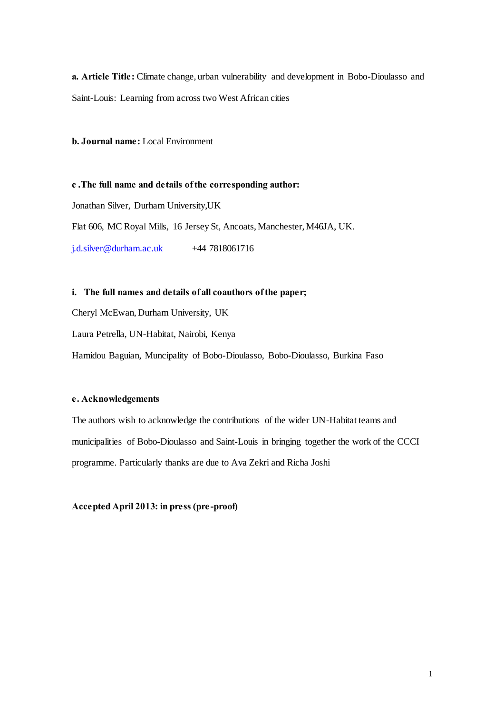**a. Article Title:** Climate change, urban vulnerability and development in Bobo-Dioulasso and Saint-Louis: Learning from across two West African cities

**b. Journal name:** Local Environment

**c .The full name and details of the corresponding author:** 

Jonathan Silver, Durham University,UK

Flat 606, MC Royal Mills, 16 Jersey St, Ancoats, Manchester, M46JA, UK.

 $i.d.silver@durham.ac.uk$  +44 7818061716

#### **i. The full names and details of all coauthors of the paper;**

Cheryl McEwan, Durham University, UK

Laura Petrella, UN-Habitat, Nairobi, Kenya

Hamidou Baguian, Muncipality of Bobo-Dioulasso, Bobo-Dioulasso, Burkina Faso

#### **e. Acknowledgements**

The authors wish to acknowledge the contributions of the wider UN-Habitat teams and municipalities of Bobo-Dioulasso and Saint-Louis in bringing together the work of the CCCI programme. Particularly thanks are due to Ava Zekri and Richa Joshi

**Accepted April 2013: in press (pre -proof)**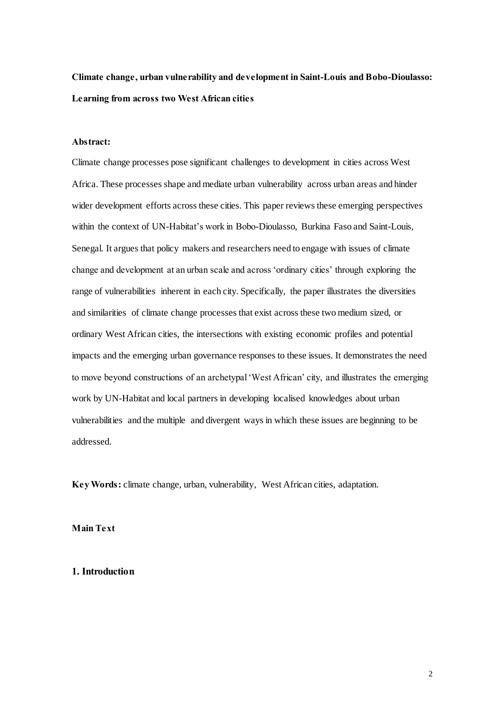**Climate change, urban vulnerability and development in Saint-Louis and Bobo-Dioulasso: Learning from across two West African cities**

#### **Abstract:**

Climate change processes pose significant challenges to development in cities across West Africa. These processes shape and mediate urban vulnerability across urban areas and hinder wider development efforts across these cities. This paper reviews these emerging perspectives within the context of UN-Habitat's work in Bobo-Dioulasso, Burkina Faso and Saint-Louis, Senegal. It argues that policy makers and researchers need to engage with issues of climate change and development at an urban scale and across 'ordinary cities' through exploring the range of vulnerabilities inherent in each city. Specifically, the paper illustrates the diversities and similarities of climate change processes that exist across these two medium sized, or ordinary West African cities, the intersections with existing economic profiles and potential impacts and the emerging urban governance responses to these issues. It demonstrates the need to move beyond constructions of an archetypal 'West African' city, and illustrates the emerging work by UN-Habitat and local partners in developing localised knowledges about urban vulnerabilities and the multiple and divergent ways in which these issues are beginning to be addressed.

**Key Words:** climate change, urban, vulnerability, West African cities, adaptation.

**Main Text**

**1. Introduction**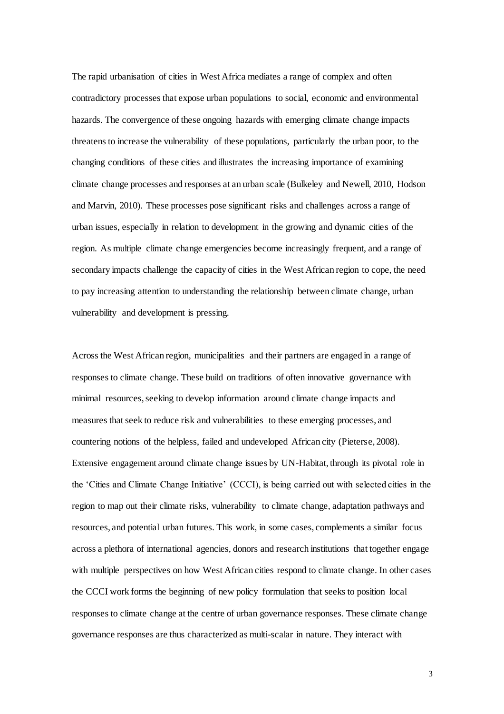The rapid urbanisation of cities in West Africa mediates a range of complex and often contradictory processes that expose urban populations to social, economic and environmental hazards. The convergence of these ongoing hazards with emerging climate change impacts threatens to increase the vulnerability of these populations, particularly the urban poor, to the changing conditions of these cities and illustrates the increasing importance of examining climate change processes and responses at an urban scale (Bulkeley and Newell, 2010, Hodson and Marvin, 2010). These processes pose significant risks and challenges across a range of urban issues, especially in relation to development in the growing and dynamic cities of the region. As multiple climate change emergencies become increasingly frequent, and a range of secondary impacts challenge the capacity of cities in the West African region to cope, the need to pay increasing attention to understanding the relationship between climate change, urban vulnerability and development is pressing.

Across the West African region, municipalities and their partners are engaged in a range of responses to climate change. These build on traditions of often innovative governance with minimal resources, seeking to develop information around climate change impacts and measures that seek to reduce risk and vulnerabilities to these emerging processes, and countering notions of the helpless, failed and undeveloped African city (Pieterse, 2008). Extensive engagement around climate change issues by UN-Habitat, through its pivotal role in the 'Cities and Climate Change Initiative' (CCCI), is being carried out with selected cities in the region to map out their climate risks, vulnerability to climate change, adaptation pathways and resources, and potential urban futures. This work, in some cases, complements a similar focus across a plethora of international agencies, donors and research institutions that together engage with multiple perspectives on how West African cities respond to climate change. In other cases the CCCI work forms the beginning of new policy formulation that seeks to position local responses to climate change at the centre of urban governance responses. These climate change governance responses are thus characterized as multi-scalar in nature. They interact with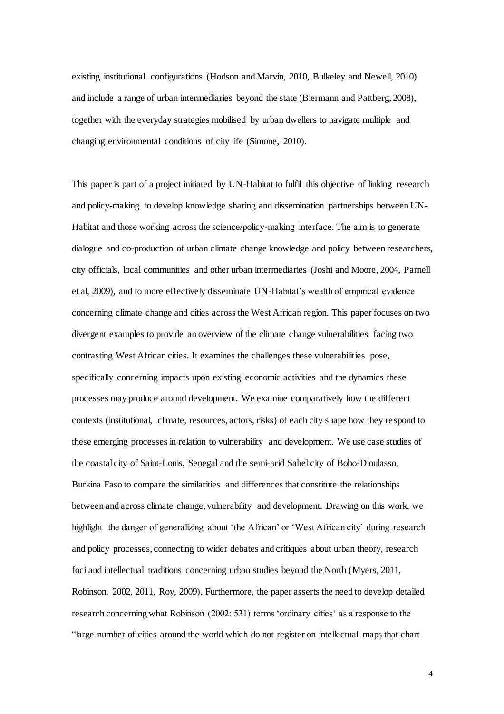existing institutional configurations (Hodson and Marvin, 2010, Bulkeley and Newell, 2010) and include a range of urban intermediaries beyond the state (Biermann and Pattberg, 2008), together with the everyday strategies mobilised by urban dwellers to navigate multiple and changing environmental conditions of city life (Simone, 2010).

This paper is part of a project initiated by UN-Habitat to fulfil this objective of linking research and policy-making to develop knowledge sharing and dissemination partnerships between UN-Habitat and those working across the science/policy-making interface. The aim is to generate dialogue and co-production of urban climate change knowledge and policy between researchers, city officials, local communities and other urban intermediaries (Joshi and Moore, 2004, Parnell et al, 2009), and to more effectively disseminate UN-Habitat's wealth of empirical evidence concerning climate change and cities across the West African region. This paper focuses on two divergent examples to provide an overview of the climate change vulnerabilities facing two contrasting West African cities. It examines the challenges these vulnerabilities pose, specifically concerning impacts upon existing economic activities and the dynamics these processes may produce around development. We examine comparatively how the different contexts (institutional, climate, resources, actors, risks) of each city shape how they respond to these emerging processes in relation to vulnerability and development. We use case studies of the coastal city of Saint-Louis, Senegal and the semi-arid Sahel city of Bobo-Dioulasso, Burkina Faso to compare the similarities and differences that constitute the relationships between and across climate change, vulnerability and development. Drawing on this work, we highlight the danger of generalizing about 'the African' or 'West African city' during research and policy processes, connecting to wider debates and critiques about urban theory, research foci and intellectual traditions concerning urban studies beyond the North (Myers, 2011, Robinson, 2002, 2011, Roy, 2009). Furthermore, the paper asserts the need to develop detailed research concerning what Robinson (2002: 531) terms 'ordinary cities' as a response to the "large number of cities around the world which do not register on intellectual maps that chart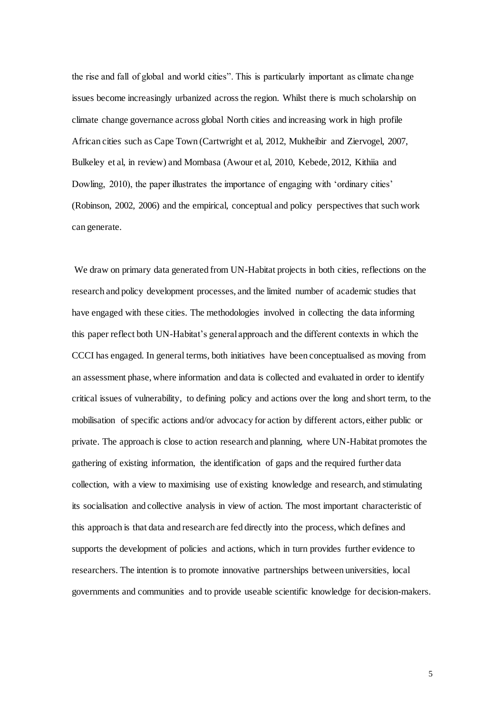the rise and fall of global and world cities". This is particularly important as climate change issues become increasingly urbanized across the region. Whilst there is much scholarship on climate change governance across global North cities and increasing work in high profile African cities such as Cape Town (Cartwright et al, 2012, Mukheibir and Ziervogel, 2007, Bulkeley et al, in review) and Mombasa (Awour et al, 2010, Kebede, 2012, Kithiia and Dowling, 2010), the paper illustrates the importance of engaging with 'ordinary cities' (Robinson, 2002, 2006) and the empirical, conceptual and policy perspectives that such work can generate.

We draw on primary data generated from UN-Habitat projects in both cities, reflections on the research and policy development processes, and the limited number of academic studies that have engaged with these cities. The methodologies involved in collecting the data informing this paper reflect both UN-Habitat's general approach and the different contexts in which the CCCI has engaged. In general terms, both initiatives have been conceptualised as moving from an assessment phase, where information and data is collected and evaluated in order to identify critical issues of vulnerability, to defining policy and actions over the long and short term, to the mobilisation of specific actions and/or advocacy for action by different actors, either public or private. The approach is close to action research and planning, where UN-Habitat promotes the gathering of existing information, the identification of gaps and the required further data collection, with a view to maximising use of existing knowledge and research, and stimulating its socialisation and collective analysis in view of action. The most important characteristic of this approach is that data and research are fed directly into the process, which defines and supports the development of policies and actions, which in turn provides further evidence to researchers. The intention is to promote innovative partnerships between universities, local governments and communities and to provide useable scientific knowledge for decision-makers.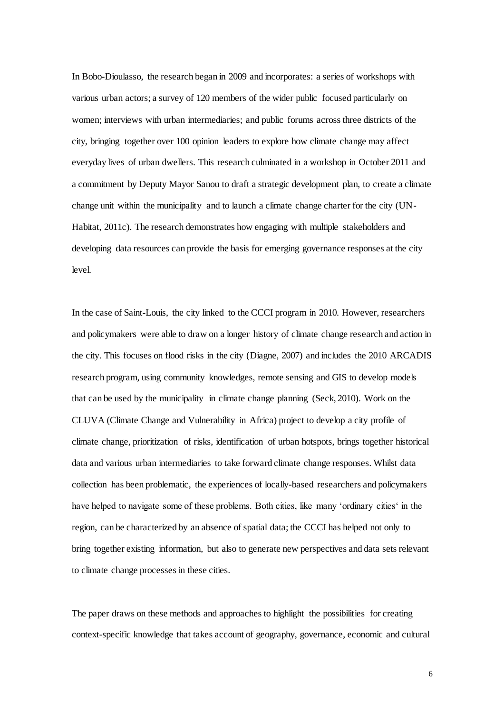In Bobo-Dioulasso, the research began in 2009 and incorporates: a series of workshops with various urban actors; a survey of 120 members of the wider public focused particularly on women; interviews with urban intermediaries; and public forums across three districts of the city, bringing together over 100 opinion leaders to explore how climate change may affect everyday lives of urban dwellers. This research culminated in a workshop in October 2011 and a commitment by Deputy Mayor Sanou to draft a strategic development plan, to create a climate change unit within the municipality and to launch a climate change charter for the city (UN-Habitat, 2011c). The research demonstrates how engaging with multiple stakeholders and developing data resources can provide the basis for emerging governance responses at the city level.

In the case of Saint-Louis, the city linked to the CCCI program in 2010. However, researchers and policymakers were able to draw on a longer history of climate change research and action in the city. This focuses on flood risks in the city (Diagne, 2007) and includes the 2010 ARCADIS research program, using community knowledges, remote sensing and GIS to develop models that can be used by the municipality in climate change planning (Seck, 2010). Work on the CLUVA (Climate Change and Vulnerability in Africa) project to develop a city profile of climate change, prioritization of risks, identification of urban hotspots, brings together historical data and various urban intermediaries to take forward climate change responses. Whilst data collection has been problematic, the experiences of locally-based researchers and policymakers have helped to navigate some of these problems. Both cities, like many 'ordinary cities' in the region, can be characterized by an absence of spatial data; the CCCI has helped not only to bring together existing information, but also to generate new perspectives and data sets relevant to climate change processes in these cities.

The paper draws on these methods and approaches to highlight the possibilities for creating context-specific knowledge that takes account of geography, governance, economic and cultural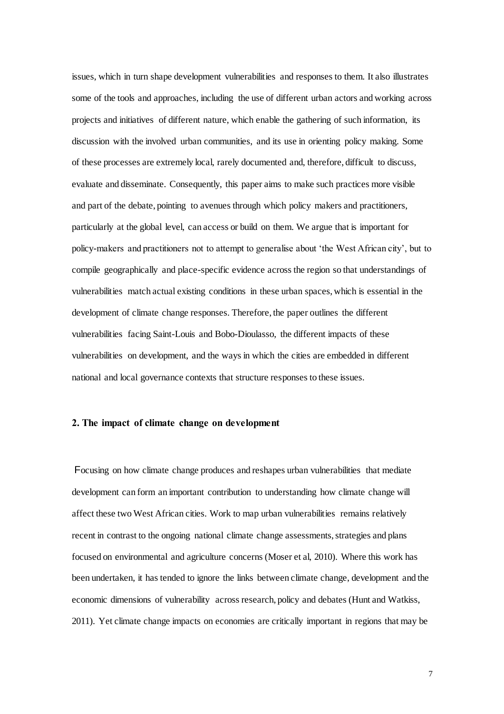issues, which in turn shape development vulnerabilities and responses to them. It also illustrates some of the tools and approaches, including the use of different urban actors and working across projects and initiatives of different nature, which enable the gathering of such information, its discussion with the involved urban communities, and its use in orienting policy making. Some of these processes are extremely local, rarely documented and, therefore, difficult to discuss, evaluate and disseminate. Consequently, this paper aims to make such practices more visible and part of the debate, pointing to avenues through which policy makers and practitioners, particularly at the global level, can access or build on them. We argue that is important for policy-makers and practitioners not to attempt to generalise about 'the West African city', but to compile geographically and place-specific evidence across the region so that understandings of vulnerabilities match actual existing conditions in these urban spaces, which is essential in the development of climate change responses. Therefore, the paper outlines the different vulnerabilities facing Saint-Louis and Bobo-Dioulasso, the different impacts of these vulnerabilities on development, and the ways in which the cities are embedded in different national and local governance contexts that structure responses to these issues.

### **2. The impact of climate change on development**

Focusing on how climate change produces and reshapes urban vulnerabilities that mediate development can form an important contribution to understanding how climate change will affect these two West African cities. Work to map urban vulnerabilities remains relatively recent in contrast to the ongoing national climate change assessments, strategies and plans focused on environmental and agriculture concerns (Moser et al, 2010). Where this work has been undertaken, it has tended to ignore the links between climate change, development and the economic dimensions of vulnerability across research, policy and debates (Hunt and Watkiss, 2011). Yet climate change impacts on economies are critically important in regions that may be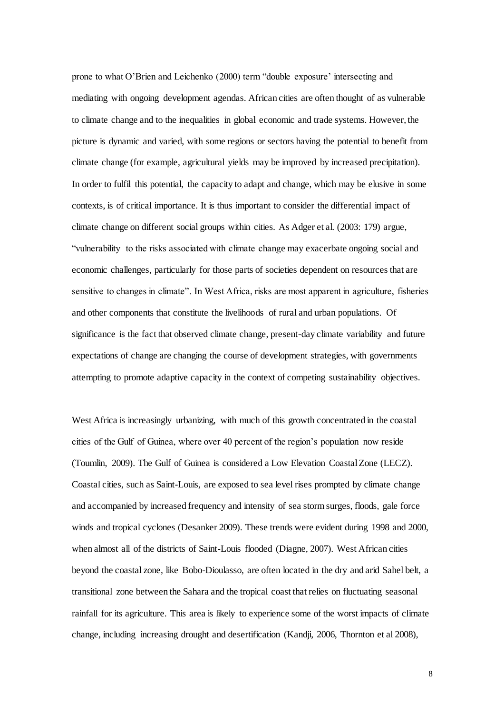prone to what O'Brien and Leichenko (2000) term "double exposure' intersecting and mediating with ongoing development agendas. African cities are often thought of as vulnerable to climate change and to the inequalities in global economic and trade systems. However, the picture is dynamic and varied, with some regions or sectors having the potential to benefit from climate change (for example, agricultural yields may be improved by increased precipitation). In order to fulfil this potential, the capacity to adapt and change, which may be elusive in some contexts, is of critical importance. It is thus important to consider the differential impact of climate change on different social groups within cities. As Adger et al. (2003: 179) argue, "vulnerability to the risks associated with climate change may exacerbate ongoing social and economic challenges, particularly for those parts of societies dependent on resources that are sensitive to changes in climate". In West Africa, risks are most apparent in agriculture, fisheries and other components that constitute the livelihoods of rural and urban populations. Of significance is the fact that observed climate change, present-day climate variability and future expectations of change are changing the course of development strategies, with governments attempting to promote adaptive capacity in the context of competing sustainability objectives.

West Africa is increasingly urbanizing, with much of this growth concentrated in the coastal cities of the Gulf of Guinea, where over 40 percent of the region's population now reside (Toumlin, 2009). The Gulf of Guinea is considered a Low Elevation Coastal Zone (LECZ). Coastal cities, such as Saint-Louis, are exposed to sea level rises prompted by climate change and accompanied by increased frequency and intensity of sea storm surges, floods, gale force winds and tropical cyclones (Desanker 2009). These trends were evident during 1998 and 2000, when almost all of the districts of Saint-Louis flooded (Diagne, 2007). West African cities beyond the coastal zone, like Bobo-Dioulasso, are often located in the dry and arid Sahel belt, a transitional zone between the Sahara and the tropical coast that relies on fluctuating seasonal rainfall for its agriculture. This area is likely to experience some of the worst impacts of climate change, including increasing drought and desertification (Kandji, 2006, Thornton et al 2008),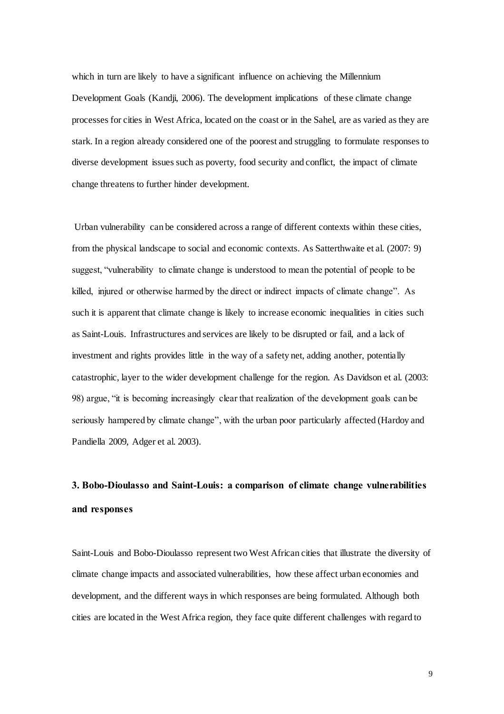which in turn are likely to have a significant influence on achieving the Millennium Development Goals (Kandji, 2006). The development implications of these climate change processes for cities in West Africa, located on the coast or in the Sahel, are as varied as they are stark. In a region already considered one of the poorest and struggling to formulate responses to diverse development issues such as poverty, food security and conflict, the impact of climate change threatens to further hinder development.

Urban vulnerability can be considered across a range of different contexts within these cities, from the physical landscape to social and economic contexts. As Satterthwaite et al. (2007: 9) suggest, "vulnerability to climate change is understood to mean the potential of people to be killed, injured or otherwise harmed by the direct or indirect impacts of climate change". As such it is apparent that climate change is likely to increase economic inequalities in cities such as Saint-Louis. Infrastructures and services are likely to be disrupted or fail, and a lack of investment and rights provides little in the way of a safety net, adding another, potentially catastrophic, layer to the wider development challenge for the region. As Davidson et al. (2003: 98) argue, "it is becoming increasingly clear that realization of the development goals can be seriously hampered by climate change", with the urban poor particularly affected (Hardoy and Pandiella 2009, Adger et al. 2003).

# **3. Bobo-Dioulasso and Saint-Louis: a comparison of climate change vulnerabilities and responses**

Saint-Louis and Bobo-Dioulasso represent two West African cities that illustrate the diversity of climate change impacts and associated vulnerabilities, how these affect urban economies and development, and the different ways in which responses are being formulated. Although both cities are located in the West Africa region, they face quite different challenges with regard to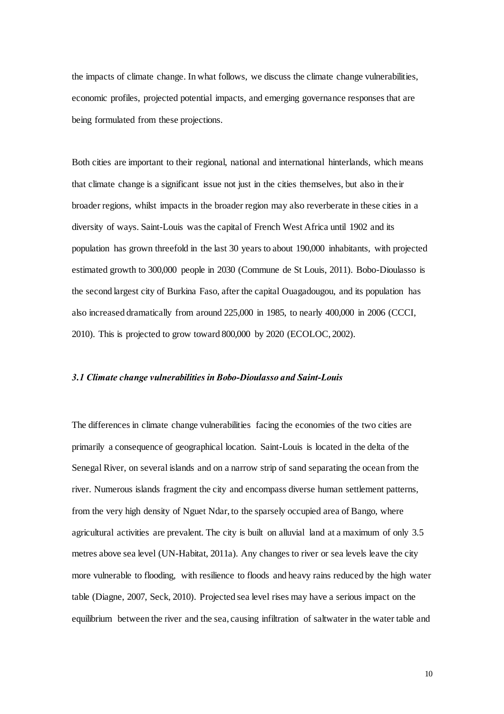the impacts of climate change. In what follows, we discuss the climate change vulnerabilities, economic profiles, projected potential impacts, and emerging governance responses that are being formulated from these projections.

Both cities are important to their regional, national and international hinterlands, which means that climate change is a significant issue not just in the cities themselves, but also in their broader regions, whilst impacts in the broader region may also reverberate in these cities in a diversity of ways. Saint-Louis was the capital of French West Africa until 1902 and its population has grown threefold in the last 30 years to about 190,000 inhabitants, with projected estimated growth to 300,000 people in 2030 (Commune de St Louis, 2011). Bobo-Dioulasso is the second largest city of Burkina Faso, after the capital Ouagadougou, and its population has also increased dramatically from around 225,000 in 1985, to nearly 400,000 in 2006 (CCCI, 2010). This is projected to grow toward 800,000 by 2020 (ECOLOC, 2002).

#### *3.1 Climate change vulnerabilities in Bobo-Dioulasso and Saint-Louis*

The differences in climate change vulnerabilities facing the economies of the two cities are primarily a consequence of geographical location. Saint-Louis is located in the delta of the Senegal River, on several islands and on a narrow strip of sand separating the ocean from the river. Numerous islands fragment the city and encompass diverse human settlement patterns, from the very high density of Nguet Ndar, to the sparsely occupied area of Bango, where agricultural activities are prevalent. The city is built on alluvial land at a maximum of only 3.5 metres above sea level (UN-Habitat, 2011a). Any changes to river or sea levels leave the city more vulnerable to flooding, with resilience to floods and heavy rains reduced by the high water table (Diagne, 2007, Seck, 2010). Projected sea level rises may have a serious impact on the equilibrium between the river and the sea, causing infiltration of saltwater in the water table and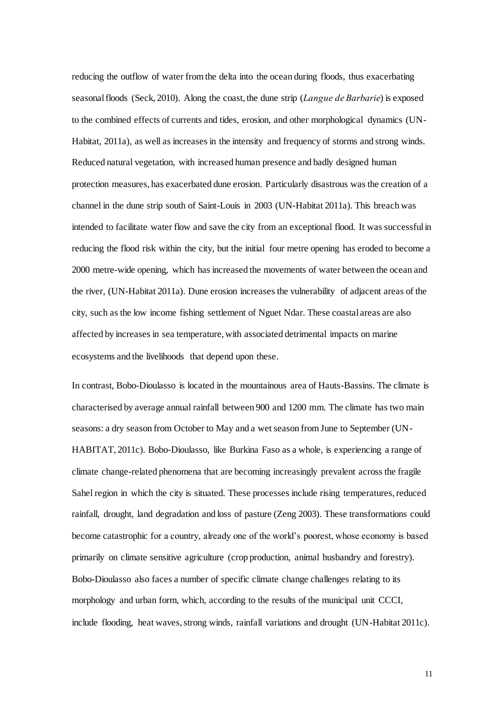reducing the outflow of water from the delta into the ocean during floods, thus exacerbating seasonal floods (Seck, 2010). Along the coast, the dune strip (*Langue de Barbarie*) is exposed to the combined effects of currents and tides, erosion, and other morphological dynamics (UN-Habitat, 2011a), as well as increases in the intensity and frequency of storms and strong winds. Reduced natural vegetation, with increased human presence and badly designed human protection measures, has exacerbated dune erosion. Particularly disastrous was the creation of a channel in the dune strip south of Saint-Louis in 2003 (UN-Habitat 2011a). This breach was intended to facilitate water flow and save the city from an exceptional flood. It was successful in reducing the flood risk within the city, but the initial four metre opening has eroded to become a 2000 metre-wide opening, which has increased the movements of water between the ocean and the river, (UN-Habitat 2011a). Dune erosion increases the vulnerability of adjacent areas of the city, such as the low income fishing settlement of Nguet Ndar. These coastal areas are also affected by increases in sea temperature, with associated detrimental impacts on marine ecosystems and the livelihoods that depend upon these.

In contrast, Bobo-Dioulasso is located in the mountainous area of Hauts-Bassins. The climate is characterised by average annual rainfall between 900 and 1200 mm. The climate has two main seasons: a dry season from October to May and a wet season from June to September (UN-HABITAT, 2011c). Bobo-Dioulasso, like Burkina Faso as a whole, is experiencing a range of climate change-related phenomena that are becoming increasingly prevalent across the fragile Sahel region in which the city is situated. These processes include rising temperatures, reduced rainfall, drought, land degradation and loss of pasture (Zeng 2003). These transformations could become catastrophic for a country, already one of the world's poorest, whose economy is based primarily on climate sensitive agriculture (crop production, animal husbandry and forestry). Bobo-Dioulasso also faces a number of specific climate change challenges relating to its morphology and urban form, which, according to the results of the municipal unit CCCI, include flooding, heat waves, strong winds, rainfall variations and drought (UN-Habitat 2011c).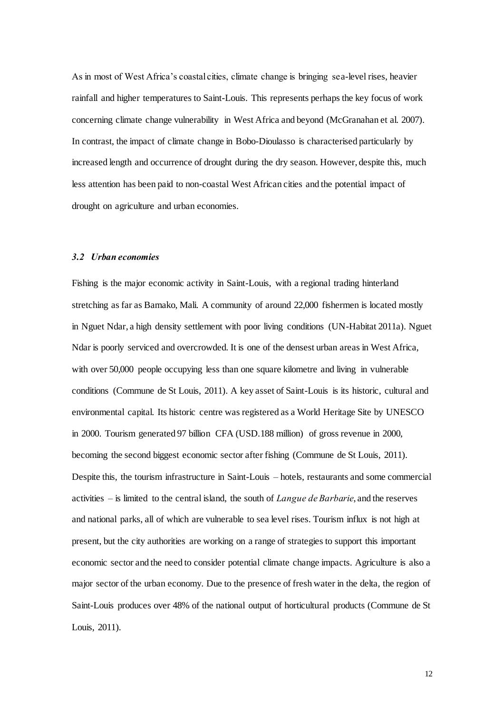As in most of West Africa's coastal cities, climate change is bringing sea-level rises, heavier rainfall and higher temperatures to Saint-Louis. This represents perhaps the key focus of work concerning climate change vulnerability in West Africa and beyond (McGranahan et al. 2007). In contrast, the impact of climate change in Bobo-Dioulasso is characterised particularly by increased length and occurrence of drought during the dry season. However, despite this, much less attention has been paid to non-coastal West African cities and the potential impact of drought on agriculture and urban economies.

#### *3.2 Urban economies*

Fishing is the major economic activity in Saint-Louis, with a regional trading hinterland stretching as far as Bamako, Mali. A community of around 22,000 fishermen is located mostly in Nguet Ndar, a high density settlement with poor living conditions (UN-Habitat 2011a). Nguet Ndar is poorly serviced and overcrowded. It is one of the densest urban areas in West Africa, with over 50,000 people occupying less than one square kilometre and living in vulnerable conditions (Commune de St Louis, 2011). A key asset of Saint-Louis is its historic, cultural and environmental capital. Its historic centre was registered as a World Heritage Site by UNESCO in 2000. Tourism generated 97 billion CFA (USD.188 million) of gross revenue in 2000, becoming the second biggest economic sector after fishing (Commune de St Louis, 2011). Despite this, the tourism infrastructure in Saint-Louis – hotels, restaurants and some commercial activities – is limited to the central island, the south of *Langue de Barbarie*, and the reserves and national parks, all of which are vulnerable to sea level rises. Tourism influx is not high at present, but the city authorities are working on a range of strategies to support this important economic sector and the need to consider potential climate change impacts. Agriculture is also a major sector of the urban economy. Due to the presence of fresh water in the delta, the region of Saint-Louis produces over 48% of the national output of horticultural products (Commune de St Louis, 2011).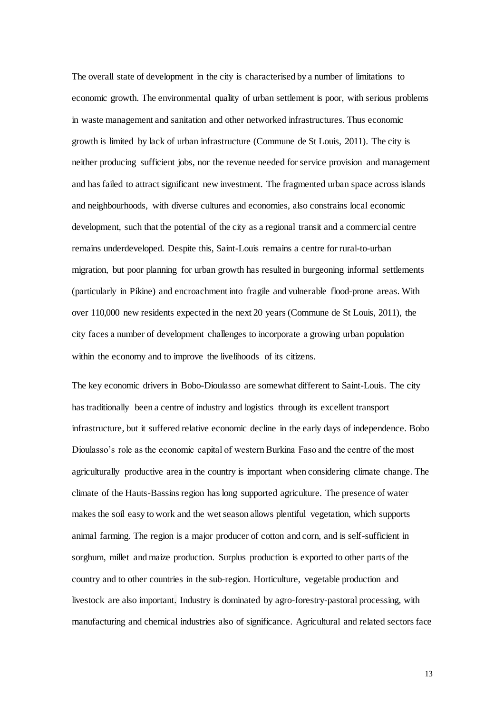The overall state of development in the city is characterised by a number of limitations to economic growth. The environmental quality of urban settlement is poor, with serious problems in waste management and sanitation and other networked infrastructures. Thus economic growth is limited by lack of urban infrastructure (Commune de St Louis, 2011). The city is neither producing sufficient jobs, nor the revenue needed for service provision and management and has failed to attract significant new investment. The fragmented urban space across islands and neighbourhoods, with diverse cultures and economies, also constrains local economic development, such that the potential of the city as a regional transit and a commercial centre remains underdeveloped. Despite this, Saint-Louis remains a centre for rural-to-urban migration, but poor planning for urban growth has resulted in burgeoning informal settlements (particularly in Pikine) and encroachment into fragile and vulnerable flood-prone areas. With over 110,000 new residents expected in the next 20 years (Commune de St Louis, 2011), the city faces a number of development challenges to incorporate a growing urban population within the economy and to improve the livelihoods of its citizens.

The key economic drivers in Bobo-Dioulasso are somewhat different to Saint-Louis. The city has traditionally been a centre of industry and logistics through its excellent transport infrastructure, but it suffered relative economic decline in the early days of independence. Bobo Dioulasso's role as the economic capital of western Burkina Faso and the centre of the most agriculturally productive area in the country is important when considering climate change. The climate of the Hauts-Bassins region has long supported agriculture. The presence of water makes the soil easy to work and the wet season allows plentiful vegetation, which supports animal farming. The region is a major producer of cotton and corn, and is self-sufficient in sorghum, millet and maize production. Surplus production is exported to other parts of the country and to other countries in the sub-region. Horticulture, vegetable production and livestock are also important. Industry is dominated by agro-forestry-pastoral processing, with manufacturing and chemical industries also of significance. Agricultural and related sectors face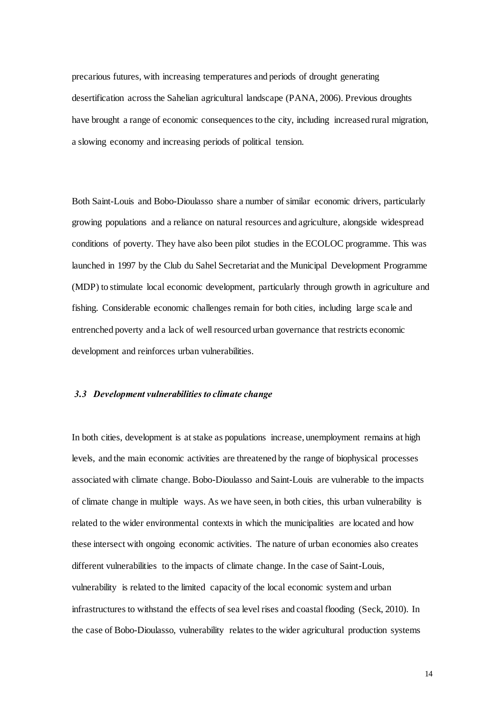precarious futures, with increasing temperatures and periods of drought generating desertification across the Sahelian agricultural landscape (PANA, 2006). Previous droughts have brought a range of economic consequences to the city, including increased rural migration, a slowing economy and increasing periods of political tension.

Both Saint-Louis and Bobo-Dioulasso share a number of similar economic drivers, particularly growing populations and a reliance on natural resources and agriculture, alongside widespread conditions of poverty. They have also been pilot studies in the ECOLOC programme. This was launched in 1997 by the Club du Sahel Secretariat and the Municipal Development Programme (MDP) to stimulate local economic development, particularly through growth in agriculture and fishing. Considerable economic challenges remain for both cities, including large scale and entrenched poverty and a lack of well resourced urban governance that restricts economic development and reinforces urban vulnerabilities.

#### *3.3 Development vulnerabilities to climate change*

In both cities, development is at stake as populations increase, unemployment remains at high levels, and the main economic activities are threatened by the range of biophysical processes associated with climate change. Bobo-Dioulasso and Saint-Louis are vulnerable to the impacts of climate change in multiple ways. As we have seen, in both cities, this urban vulnerability is related to the wider environmental contexts in which the municipalities are located and how these intersect with ongoing economic activities. The nature of urban economies also creates different vulnerabilities to the impacts of climate change. In the case of Saint-Louis, vulnerability is related to the limited capacity of the local economic system and urban infrastructures to withstand the effects of sea level rises and coastal flooding (Seck, 2010). In the case of Bobo-Dioulasso, vulnerability relates to the wider agricultural production systems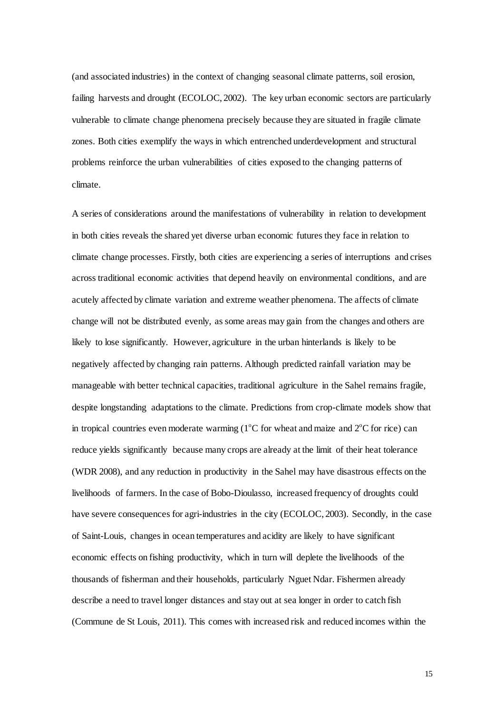(and associated industries) in the context of changing seasonal climate patterns, soil erosion, failing harvests and drought (ECOLOC, 2002). The key urban economic sectors are particularly vulnerable to climate change phenomena precisely because they are situated in fragile climate zones. Both cities exemplify the ways in which entrenched underdevelopment and structural problems reinforce the urban vulnerabilities of cities exposed to the changing patterns of climate.

A series of considerations around the manifestations of vulnerability in relation to development in both cities reveals the shared yet diverse urban economic futures they face in relation to climate change processes. Firstly, both cities are experiencing a series of interruptions and crises across traditional economic activities that depend heavily on environmental conditions, and are acutely affected by climate variation and extreme weather phenomena. The affects of climate change will not be distributed evenly, as some areas may gain from the changes and others are likely to lose significantly. However, agriculture in the urban hinterlands is likely to be negatively affected by changing rain patterns. Although predicted rainfall variation may be manageable with better technical capacities, traditional agriculture in the Sahel remains fragile, despite longstanding adaptations to the climate. Predictions from crop-climate models show that in tropical countries even moderate warming  $(1^{\circ}C$  for wheat and maize and  $2^{\circ}C$  for rice) can reduce yields significantly because many crops are already at the limit of their heat tolerance (WDR 2008), and any reduction in productivity in the Sahel may have disastrous effects on the livelihoods of farmers. In the case of Bobo-Dioulasso, increased frequency of droughts could have severe consequences for agri-industries in the city (ECOLOC, 2003). Secondly, in the case of Saint-Louis, changes in ocean temperatures and acidity are likely to have significant economic effects on fishing productivity, which in turn will deplete the livelihoods of the thousands of fisherman and their households, particularly Nguet Ndar. Fishermen already describe a need to travel longer distances and stay out at sea longer in order to catch fish (Commune de St Louis, 2011). This comes with increased risk and reduced incomes within the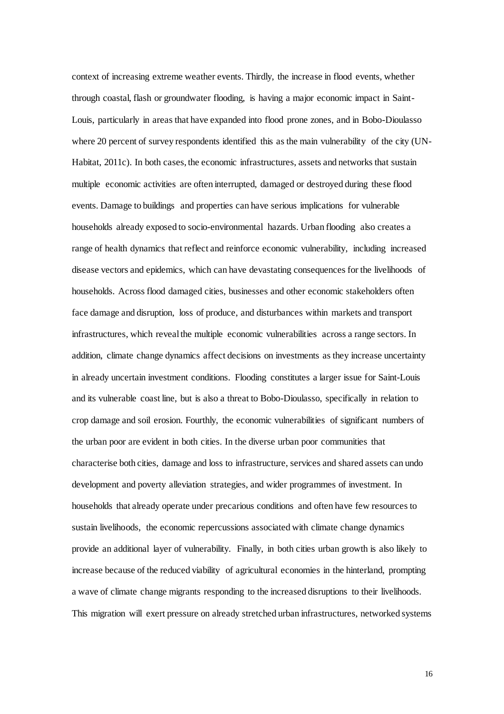context of increasing extreme weather events. Thirdly, the increase in flood events, whether through coastal, flash or groundwater flooding, is having a major economic impact in Saint-Louis, particularly in areas that have expanded into flood prone zones, and in Bobo-Dioulasso where 20 percent of survey respondents identified this as the main vulnerability of the city (UN-Habitat, 2011c). In both cases, the economic infrastructures, assets and networks that sustain multiple economic activities are often interrupted, damaged or destroyed during these flood events. Damage to buildings and properties can have serious implications for vulnerable households already exposed to socio-environmental hazards. Urban flooding also creates a range of health dynamics that reflect and reinforce economic vulnerability, including increased disease vectors and epidemics, which can have devastating consequences for the livelihoods of households. Across flood damaged cities, businesses and other economic stakeholders often face damage and disruption, loss of produce, and disturbances within markets and transport infrastructures, which reveal the multiple economic vulnerabilities across a range sectors. In addition, climate change dynamics affect decisions on investments as they increase uncertainty in already uncertain investment conditions. Flooding constitutes a larger issue for Saint-Louis and its vulnerable coast line, but is also a threat to Bobo-Dioulasso, specifically in relation to crop damage and soil erosion. Fourthly, the economic vulnerabilities of significant numbers of the urban poor are evident in both cities. In the diverse urban poor communities that characterise both cities, damage and loss to infrastructure, services and shared assets can undo development and poverty alleviation strategies, and wider programmes of investment. In households that already operate under precarious conditions and often have few resources to sustain livelihoods, the economic repercussions associated with climate change dynamics provide an additional layer of vulnerability. Finally, in both cities urban growth is also likely to increase because of the reduced viability of agricultural economies in the hinterland, prompting a wave of climate change migrants responding to the increased disruptions to their livelihoods. This migration will exert pressure on already stretched urban infrastructures, networked systems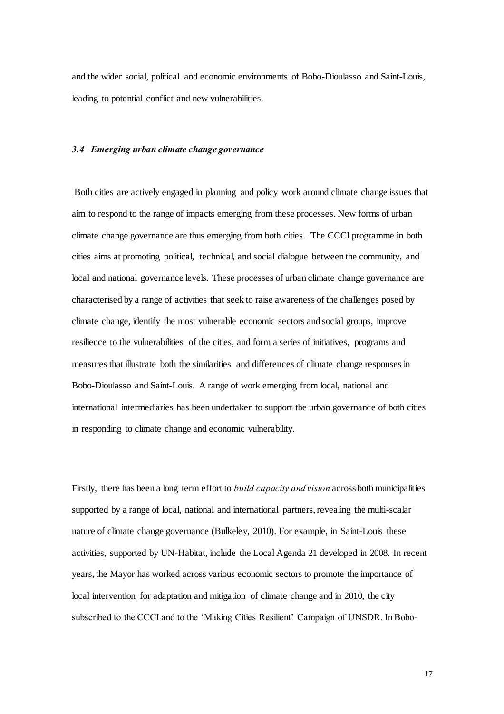and the wider social, political and economic environments of Bobo-Dioulasso and Saint-Louis, leading to potential conflict and new vulnerabilities.

#### *3.4 Emerging urban climate change governance*

Both cities are actively engaged in planning and policy work around climate change issues that aim to respond to the range of impacts emerging from these processes. New forms of urban climate change governance are thus emerging from both cities. The CCCI programme in both cities aims at promoting political, technical, and social dialogue between the community, and local and national governance levels. These processes of urban climate change governance are characterised by a range of activities that seek to raise awareness of the challenges posed by climate change, identify the most vulnerable economic sectors and social groups, improve resilience to the vulnerabilities of the cities, and form a series of initiatives, programs and measures that illustrate both the similarities and differences of climate change responses in Bobo-Dioulasso and Saint-Louis. A range of work emerging from local, national and international intermediaries has been undertaken to support the urban governance of both cities in responding to climate change and economic vulnerability.

Firstly, there has been a long term effort to *build capacity and vision* across both municipalities supported by a range of local, national and international partners, revealing the multi-scalar nature of climate change governance (Bulkeley, 2010). For example, in Saint-Louis these activities, supported by UN-Habitat, include the Local Agenda 21 developed in 2008. In recent years, the Mayor has worked across various economic sectors to promote the importance of local intervention for adaptation and mitigation of climate change and in 2010, the city subscribed to the CCCI and to the 'Making Cities Resilient' Campaign of UNSDR. In Bobo-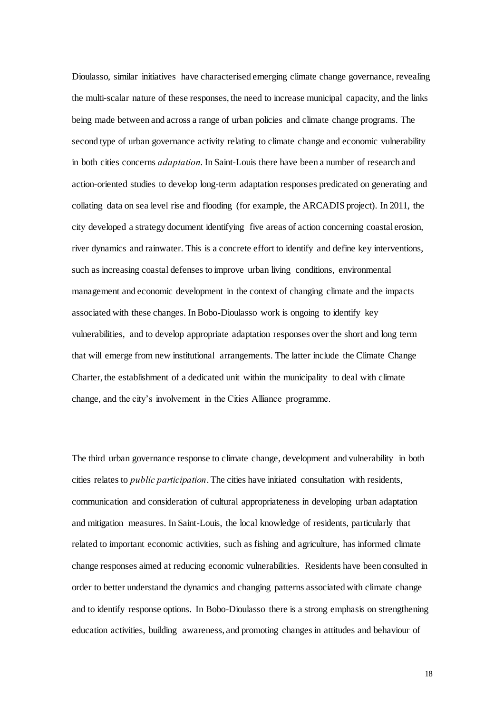Dioulasso, similar initiatives have characterised emerging climate change governance, revealing the multi-scalar nature of these responses, the need to increase municipal capacity, and the links being made between and across a range of urban policies and climate change programs. The second type of urban governance activity relating to climate change and economic vulnerability in both cities concerns *adaptation*. In Saint-Louis there have been a number of research and action-oriented studies to develop long-term adaptation responses predicated on generating and collating data on sea level rise and flooding (for example, the ARCADIS project). In 2011, the city developed a strategy document identifying five areas of action concerning coastal erosion, river dynamics and rainwater. This is a concrete effort to identify and define key interventions, such as increasing coastal defenses to improve urban living conditions, environmental management and economic development in the context of changing climate and the impacts associated with these changes. In Bobo-Dioulasso work is ongoing to identify key vulnerabilities, and to develop appropriate adaptation responses over the short and long term that will emerge from new institutional arrangements. The latter include the Climate Change Charter, the establishment of a dedicated unit within the municipality to deal with climate change, and the city's involvement in the Cities Alliance programme.

The third urban governance response to climate change, development and vulnerability in both cities relates to *public participation*. The cities have initiated consultation with residents, communication and consideration of cultural appropriateness in developing urban adaptation and mitigation measures. In Saint-Louis, the local knowledge of residents, particularly that related to important economic activities, such as fishing and agriculture, has informed climate change responses aimed at reducing economic vulnerabilities. Residents have been consulted in order to better understand the dynamics and changing patterns associated with climate change and to identify response options. In Bobo-Dioulasso there is a strong emphasis on strengthening education activities, building awareness, and promoting changes in attitudes and behaviour of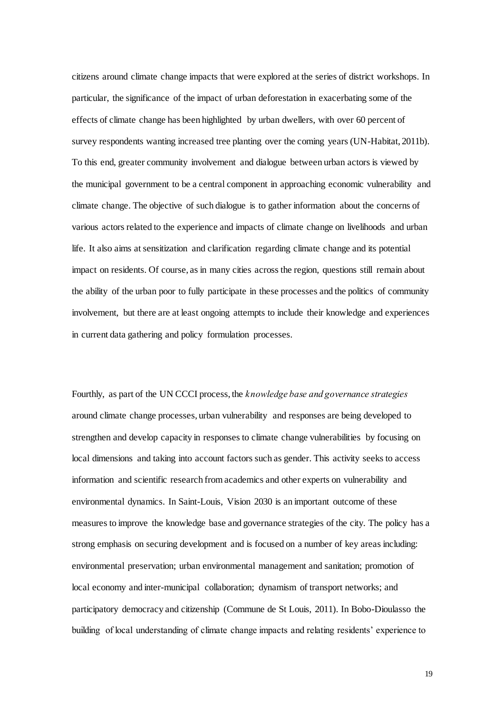citizens around climate change impacts that were explored at the series of district workshops. In particular, the significance of the impact of urban deforestation in exacerbating some of the effects of climate change has been highlighted by urban dwellers, with over 60 percent of survey respondents wanting increased tree planting over the coming years (UN-Habitat, 2011b). To this end, greater community involvement and dialogue between urban actors is viewed by the municipal government to be a central component in approaching economic vulnerability and climate change. The objective of such dialogue is to gather information about the concerns of various actors related to the experience and impacts of climate change on livelihoods and urban life. It also aims at sensitization and clarification regarding climate change and its potential impact on residents. Of course, as in many cities across the region, questions still remain about the ability of the urban poor to fully participate in these processes and the politics of community involvement, but there are at least ongoing attempts to include their knowledge and experiences in current data gathering and policy formulation processes.

Fourthly, as part of the UN CCCI process, the *knowledge base and governance strategies*  around climate change processes, urban vulnerability and responses are being developed to strengthen and develop capacity in responses to climate change vulnerabilities by focusing on local dimensions and taking into account factors such as gender. This activity seeks to access information and scientific research from academics and other experts on vulnerability and environmental dynamics. In Saint-Louis, Vision 2030 is an important outcome of these measures to improve the knowledge base and governance strategies of the city. The policy has a strong emphasis on securing development and is focused on a number of key areas including: environmental preservation; urban environmental management and sanitation; promotion of local economy and inter-municipal collaboration; dynamism of transport networks; and participatory democracy and citizenship (Commune de St Louis, 2011). In Bobo-Dioulasso the building of local understanding of climate change impacts and relating residents' experience to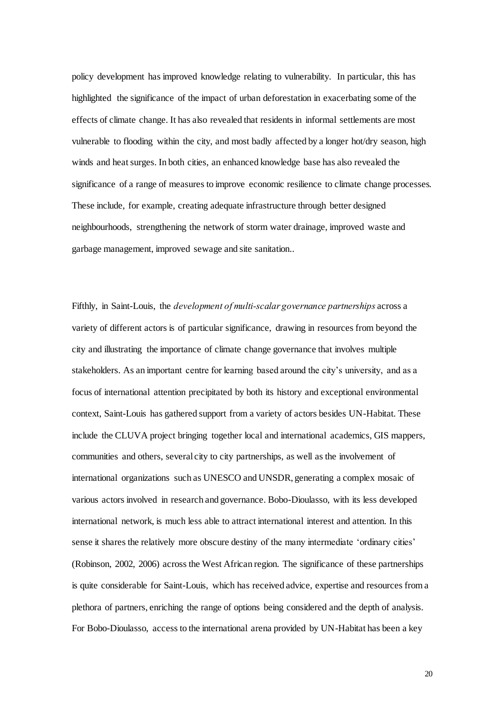policy development has improved knowledge relating to vulnerability. In particular, this has highlighted the significance of the impact of urban deforestation in exacerbating some of the effects of climate change. It has also revealed that residents in informal settlements are most vulnerable to flooding within the city, and most badly affected by a longer hot/dry season, high winds and heat surges. In both cities, an enhanced knowledge base has also revealed the significance of a range of measures to improve economic resilience to climate change processes. These include, for example, creating adequate infrastructure through better designed neighbourhoods, strengthening the network of storm water drainage, improved waste and garbage management, improved sewage and site sanitation..

Fifthly, in Saint-Louis, the *development of multi-scalar governance partnerships* across a variety of different actors is of particular significance, drawing in resources from beyond the city and illustrating the importance of climate change governance that involves multiple stakeholders. As an important centre for learning based around the city's university, and as a focus of international attention precipitated by both its history and exceptional environmental context, Saint-Louis has gathered support from a variety of actors besides UN-Habitat. These include the CLUVA project bringing together local and international academics, GIS mappers, communities and others, several city to city partnerships, as well as the involvement of international organizations such as UNESCO and UNSDR, generating a complex mosaic of various actors involved in research and governance. Bobo-Dioulasso, with its less developed international network, is much less able to attract international interest and attention. In this sense it shares the relatively more obscure destiny of the many intermediate 'ordinary cities' (Robinson, 2002, 2006) across the West African region. The significance of these partnerships is quite considerable for Saint-Louis, which has received advice, expertise and resources from a plethora of partners, enriching the range of options being considered and the depth of analysis. For Bobo-Dioulasso, access to the international arena provided by UN-Habitat has been a key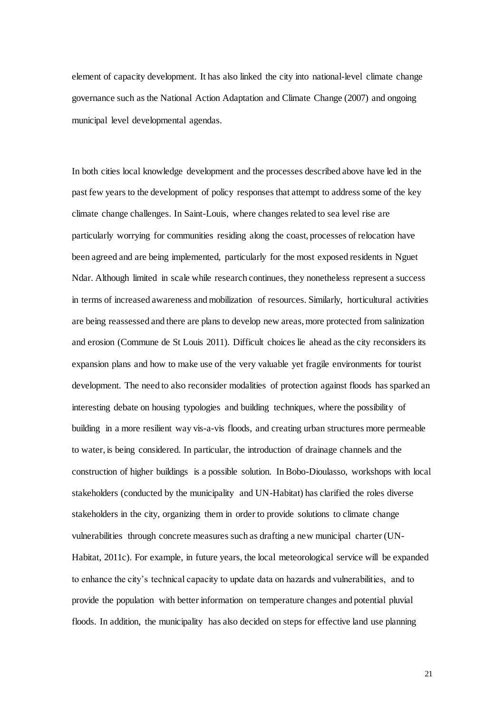element of capacity development. It has also linked the city into national-level climate change governance such as the National Action Adaptation and Climate Change (2007) and ongoing municipal level developmental agendas.

In both cities local knowledge development and the processes described above have led in the past few years to the development of policy responses that attempt to address some of the key climate change challenges. In Saint-Louis, where changes related to sea level rise are particularly worrying for communities residing along the coast, processes of relocation have been agreed and are being implemented, particularly for the most exposed residents in Nguet Ndar. Although limited in scale while research continues, they nonetheless represent a success in terms of increased awareness and mobilization of resources. Similarly, horticultural activities are being reassessed and there are plans to develop new areas, more protected from salinization and erosion (Commune de St Louis 2011). Difficult choices lie ahead as the city reconsiders its expansion plans and how to make use of the very valuable yet fragile environments for tourist development. The need to also reconsider modalities of protection against floods has sparked an interesting debate on housing typologies and building techniques, where the possibility of building in a more resilient way vis-a-vis floods, and creating urban structures more permeable to water, is being considered. In particular, the introduction of drainage channels and the construction of higher buildings is a possible solution. In Bobo-Dioulasso, workshops with local stakeholders (conducted by the municipality and UN-Habitat) has clarified the roles diverse stakeholders in the city, organizing them in order to provide solutions to climate change vulnerabilities through concrete measures such as drafting a new municipal charter (UN-Habitat, 2011c). For example, in future years, the local meteorological service will be expanded to enhance the city's technical capacity to update data on hazards and vulnerabilities, and to provide the population with better information on temperature changes and potential pluvial floods. In addition, the municipality has also decided on steps for effective land use planning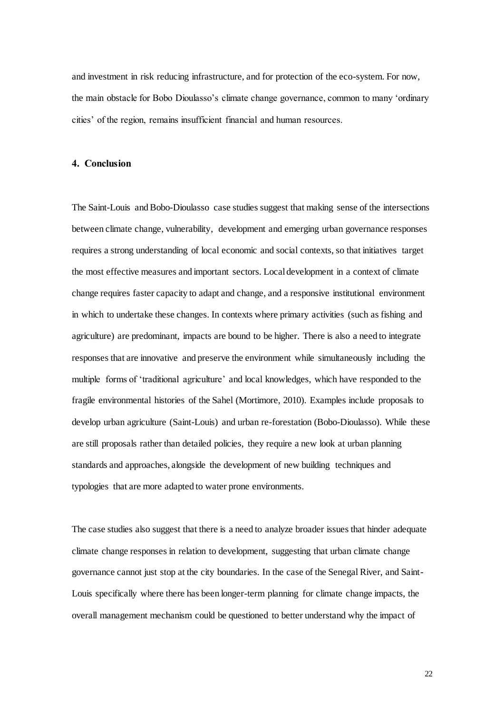and investment in risk reducing infrastructure, and for protection of the eco-system. For now, the main obstacle for Bobo Dioulasso's climate change governance, common to many 'ordinary cities' of the region, remains insufficient financial and human resources.

#### **4. Conclusion**

The Saint-Louis and Bobo-Dioulasso case studies suggest that making sense of the intersections between climate change, vulnerability, development and emerging urban governance responses requires a strong understanding of local economic and social contexts, so that initiatives target the most effective measures and important sectors. Local development in a context of climate change requires faster capacity to adapt and change, and a responsive institutional environment in which to undertake these changes. In contexts where primary activities (such as fishing and agriculture) are predominant, impacts are bound to be higher. There is also a need to integrate responses that are innovative and preserve the environment while simultaneously including the multiple forms of 'traditional agriculture' and local knowledges, which have responded to the fragile environmental histories of the Sahel (Mortimore, 2010). Examples include proposals to develop urban agriculture (Saint-Louis) and urban re-forestation (Bobo-Dioulasso). While these are still proposals rather than detailed policies, they require a new look at urban planning standards and approaches, alongside the development of new building techniques and typologies that are more adapted to water prone environments.

The case studies also suggest that there is a need to analyze broader issues that hinder adequate climate change responses in relation to development, suggesting that urban climate change governance cannot just stop at the city boundaries. In the case of the Senegal River, and Saint-Louis specifically where there has been longer-term planning for climate change impacts, the overall management mechanism could be questioned to better understand why the impact of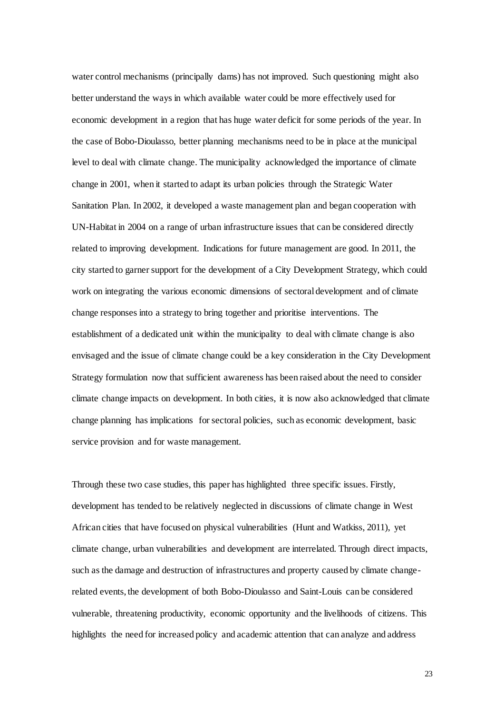water control mechanisms (principally dams) has not improved. Such questioning might also better understand the ways in which available water could be more effectively used for economic development in a region that has huge water deficit for some periods of the year. In the case of Bobo-Dioulasso, better planning mechanisms need to be in place at the municipal level to deal with climate change. The municipality acknowledged the importance of climate change in 2001, when it started to adapt its urban policies through the Strategic Water Sanitation Plan. In 2002, it developed a waste management plan and began cooperation with UN-Habitat in 2004 on a range of urban infrastructure issues that can be considered directly related to improving development. Indications for future management are good. In 2011, the city started to garner support for the development of a City Development Strategy, which could work on integrating the various economic dimensions of sectoral development and of climate change responses into a strategy to bring together and prioritise interventions. The establishment of a dedicated unit within the municipality to deal with climate change is also envisaged and the issue of climate change could be a key consideration in the City Development Strategy formulation now that sufficient awareness has been raised about the need to consider climate change impacts on development. In both cities, it is now also acknowledged that climate change planning has implications for sectoral policies, such as economic development, basic service provision and for waste management.

Through these two case studies, this paper has highlighted three specific issues. Firstly, development has tended to be relatively neglected in discussions of climate change in West African cities that have focused on physical vulnerabilities (Hunt and Watkiss, 2011), yet climate change, urban vulnerabilities and development are interrelated. Through direct impacts, such as the damage and destruction of infrastructures and property caused by climate changerelated events, the development of both Bobo-Dioulasso and Saint-Louis can be considered vulnerable, threatening productivity, economic opportunity and the livelihoods of citizens. This highlights the need for increased policy and academic attention that can analyze and address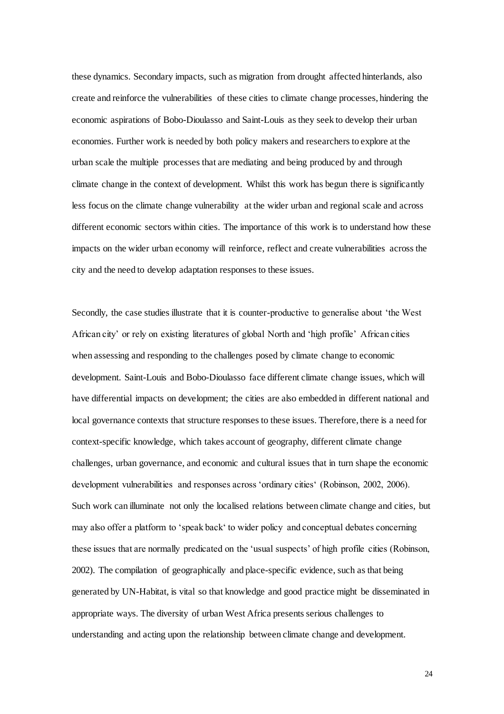these dynamics. Secondary impacts, such as migration from drought affected hinterlands, also create and reinforce the vulnerabilities of these cities to climate change processes, hindering the economic aspirations of Bobo-Dioulasso and Saint-Louis as they seek to develop their urban economies. Further work is needed by both policy makers and researchers to explore at the urban scale the multiple processes that are mediating and being produced by and through climate change in the context of development. Whilst this work has begun there is significantly less focus on the climate change vulnerability at the wider urban and regional scale and across different economic sectors within cities. The importance of this work is to understand how these impacts on the wider urban economy will reinforce, reflect and create vulnerabilities across the city and the need to develop adaptation responses to these issues.

Secondly, the case studies illustrate that it is counter-productive to generalise about 'the West African city' or rely on existing literatures of global North and 'high profile' African cities when assessing and responding to the challenges posed by climate change to economic development. Saint-Louis and Bobo-Dioulasso face different climate change issues, which will have differential impacts on development; the cities are also embedded in different national and local governance contexts that structure responses to these issues. Therefore, there is a need for context-specific knowledge, which takes account of geography, different climate change challenges, urban governance, and economic and cultural issues that in turn shape the economic development vulnerabilities and responses across 'ordinary cities' (Robinson, 2002, 2006). Such work can illuminate not only the localised relations between climate change and cities, but may also offer a platform to 'speak back' to wider policy and conceptual debates concerning these issues that are normally predicated on the 'usual suspects' of high profile cities (Robinson, 2002). The compilation of geographically and place-specific evidence, such as that being generated by UN-Habitat, is vital so that knowledge and good practice might be disseminated in appropriate ways. The diversity of urban West Africa presents serious challenges to understanding and acting upon the relationship between climate change and development.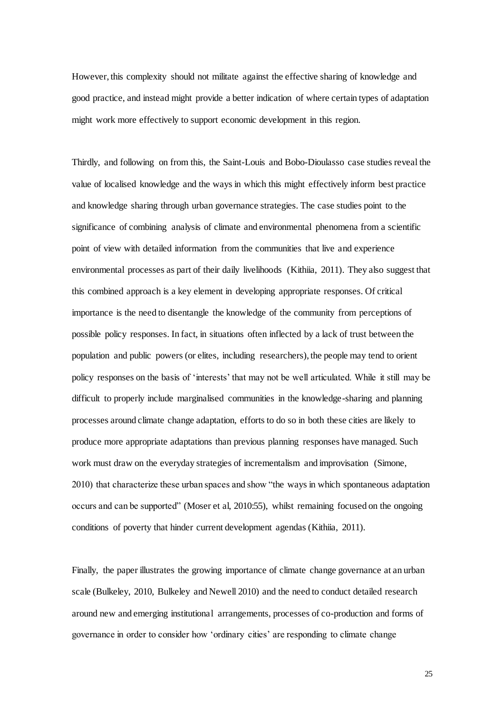However, this complexity should not militate against the effective sharing of knowledge and good practice, and instead might provide a better indication of where certain types of adaptation might work more effectively to support economic development in this region.

Thirdly, and following on from this, the Saint-Louis and Bobo-Dioulasso case studies reveal the value of localised knowledge and the ways in which this might effectively inform best practice and knowledge sharing through urban governance strategies. The case studies point to the significance of combining analysis of climate and environmental phenomena from a scientific point of view with detailed information from the communities that live and experience environmental processes as part of their daily livelihoods (Kithiia, 2011). They also suggest that this combined approach is a key element in developing appropriate responses. Of critical importance is the need to disentangle the knowledge of the community from perceptions of possible policy responses. In fact, in situations often inflected by a lack of trust between the population and public powers (or elites, including researchers), the people may tend to orient policy responses on the basis of 'interests' that may not be well articulated. While it still may be difficult to properly include marginalised communities in the knowledge-sharing and planning processes around climate change adaptation, efforts to do so in both these cities are likely to produce more appropriate adaptations than previous planning responses have managed. Such work must draw on the everyday strategies of incrementalism and improvisation (Simone, 2010) that characterize these urban spaces and show "the ways in which spontaneous adaptation occurs and can be supported" (Moser et al, 2010:55), whilst remaining focused on the ongoing conditions of poverty that hinder current development agendas (Kithiia, 2011).

Finally, the paper illustrates the growing importance of climate change governance at an urban scale (Bulkeley, 2010, Bulkeley and Newell 2010) and the need to conduct detailed research around new and emerging institutional arrangements, processes of co-production and forms of governance in order to consider how 'ordinary cities' are responding to climate change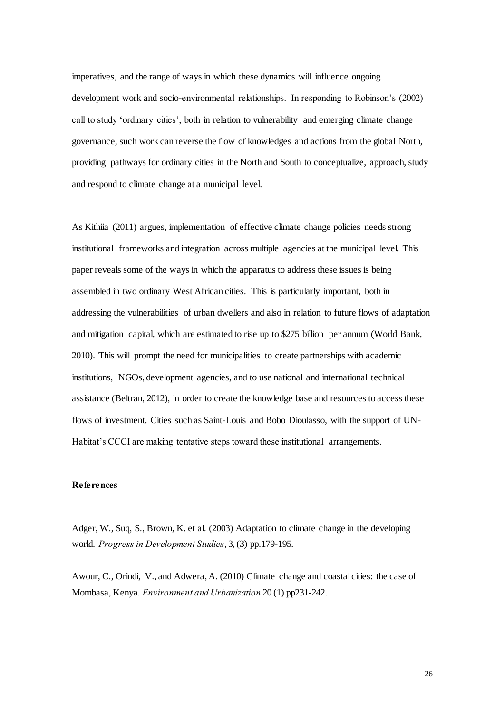imperatives, and the range of ways in which these dynamics will influence ongoing development work and socio-environmental relationships. In responding to Robinson's (2002) call to study 'ordinary cities', both in relation to vulnerability and emerging climate change governance, such work can reverse the flow of knowledges and actions from the global North, providing pathways for ordinary cities in the North and South to conceptualize, approach, study and respond to climate change at a municipal level.

As Kithiia (2011) argues, implementation of effective climate change policies needs strong institutional frameworks and integration across multiple agencies at the municipal level. This paper reveals some of the ways in which the apparatus to address these issues is being assembled in two ordinary West African cities. This is particularly important, both in addressing the vulnerabilities of urban dwellers and also in relation to future flows of adaptation and mitigation capital, which are estimated to rise up to \$275 billion per annum (World Bank, 2010). This will prompt the need for municipalities to create partnerships with academic institutions, NGOs, development agencies, and to use national and international technical assistance (Beltran, 2012), in order to create the knowledge base and resources to access these flows of investment. Cities such as Saint-Louis and Bobo Dioulasso, with the support of UN-Habitat's CCCI are making tentative steps toward these institutional arrangements.

#### **References**

Adger, W., Suq, S., Brown, K. et al. (2003) Adaptation to climate change in the developing world. *Progress in Development Studies*, 3, (3) pp.179-195.

Awour, C., Orindi, V., and Adwera, A. (2010) Climate change and coastal cities: the case of Mombasa, Kenya. *Environment and Urbanization* 20 (1) pp231-242.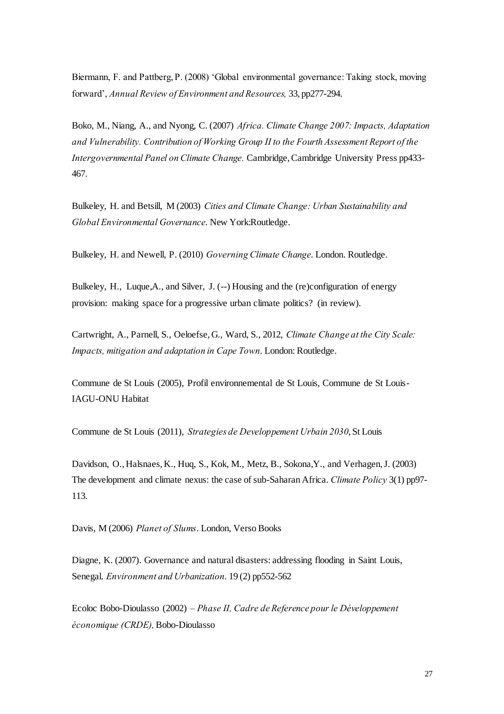Biermann, F. and Pattberg, P. (2008) 'Global environmental governance: Taking stock, moving forward', *Annual Review of Environment and Resources,* 33, pp277-294.

Boko, M., Niang, A., and Nyong, C. (2007) *Africa. Climate Change 2007: Impacts, Adaptation and Vulnerability. Contribution of Working Group II to the Fourth Assessment Report of the Intergovernmental Panel on Climate Change.* Cambridge, Cambridge University Press pp433- 467.

Bulkeley, H. and Betsill, M (2003) *Cities and Climate Change: Urban Sustainability and Global Environmental Governance*. New York:Routledge.

Bulkeley, H. and Newell, P. (2010) *Governing Climate Change*. London. Routledge.

Bulkeley, H., Luque,A., and Silver, J. (--) Housing and the (re)configuration of energy provision: making space for a progressive urban climate politics? (in review).

Cartwright, A., Parnell, S., Oeloefse, G., Ward, S., 2012, *Climate Change at the City Scale: Impacts, mitigation and adaptation in Cape Town*. London: Routledge.

Commune de St Louis (2005), Profil environnemental de St Louis, Commune de St Louis-IAGU-ONU Habitat

Commune de St Louis (2011), *Strategies de Developpement Urbain 2030*, St Louis

Davidson, O., Halsnaes, K., Huq, S., Kok, M., Metz, B., Sokona,Y., and Verhagen, J. (2003) The development and climate nexus: the case of sub-Saharan Africa. *Climate Policy* 3(1) pp97- 113.

Davis, M (2006) *Planet of Slums*. London, Verso Books

Diagne, K. (2007). Governance and natural disasters: addressing flooding in Saint Louis, Senegal. *Environment and Urbanization*. 19 (2) pp552-562

Ecoloc Bobo-Dioulasso (2002) – *Phase II, Cadre de Reference pour le Développement économique (CRDE),*Bobo-Dioulasso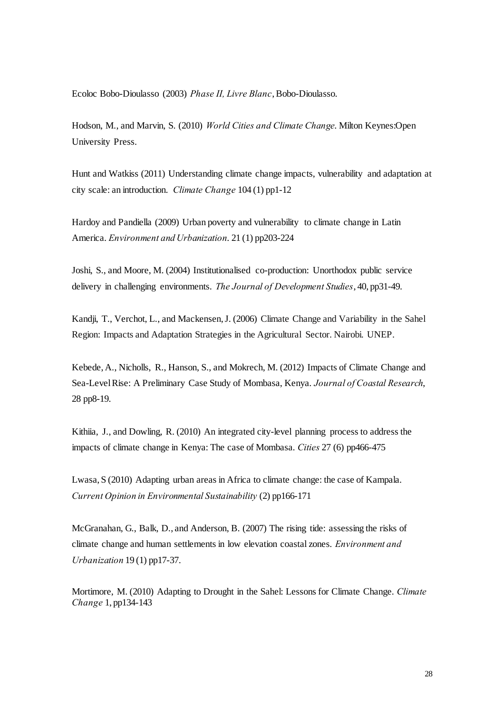Ecoloc Bobo-Dioulasso (2003) *Phase II, Livre Blanc*, Bobo-Dioulasso.

Hodson, M., and Marvin, S. (2010) *World Cities and Climate Change*. Milton Keynes:Open University Press.

Hunt and Watkiss (2011) Understanding climate change impacts, vulnerability and adaptation at city scale: an introduction. *Climate Change* 104 (1) pp1-12

Hardoy and Pandiella (2009) Urban poverty and vulnerability to climate change in Latin America. *Environment and Urbanization*. 21 (1) pp203-224

Joshi, S., and Moore, M. (2004) Institutionalised co-production: Unorthodox public service delivery in challenging environments. *The Journal of Development Studies*, 40, pp31-49.

Kandji, T., Verchot, L., and Mackensen, J. (2006) Climate Change and Variability in the Sahel Region: Impacts and Adaptation Strategies in the Agricultural Sector. Nairobi. UNEP.

Kebede, A., Nicholls, R., Hanson, S., and Mokrech, M. (2012) Impacts of Climate Change and Sea-Level Rise: A Preliminary Case Study of Mombasa, Kenya. *Journal of Coastal Research*, 28 pp8-19.

Kithiia, J., and Dowling, R. (2010) An integrated city-level planning process to address the impacts of climate change in Kenya: The case of Mombasa. *Cities* 27 (6) pp466-475

Lwasa, S (2010) Adapting urban areas in Africa to climate change: the case of Kampala. *Current Opinion in Environmental Sustainability* (2) pp166-171

McGranahan, G., Balk, D., and Anderson, B. (2007) The rising tide: assessing the risks of climate change and human settlements in low elevation coastal zones. *Environment and Urbanization* 19 (1) pp17-37.

Mortimore, M. (2010) Adapting to Drought in the Sahel: Lessons for Climate Change. *Climate Change* 1, pp134-143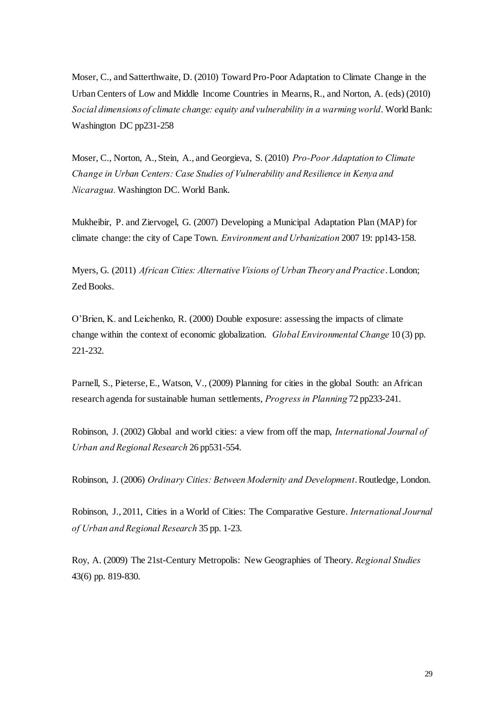Moser, C., and Satterthwaite, D. (2010) Toward Pro-Poor Adaptation to Climate Change in the Urban Centers of Low and Middle Income Countries in Mearns, R., and Norton, A. (eds) (2010) *Social dimensions of climate change: equity and vulnerability in a warming world*. World Bank: Washington DC pp231-258

Moser, C., Norton, A., Stein, A., and Georgieva, S. (2010) *Pro-Poor Adaptation to Climate Change in Urban Centers: Case Studies of Vulnerability and Resilience in Kenya and Nicaragua.* Washington DC. World Bank.

Mukheibir, P. and Ziervogel, G. (2007) Developing a Municipal Adaptation Plan (MAP) for climate change: the city of Cape Town. *Environment and Urbanization* 2007 19: pp143-158.

Myers, G. (2011) *African Cities: Alternative Visions of Urban Theory and Practice*. London; Zed Books.

O'Brien, K. and Leichenko, R. (2000) Double exposure: assessing the impacts of climate change within the context of economic globalization. *Global Environmental Change* 10 (3) pp. 221-232.

Parnell, S., Pieterse, E., Watson, V., (2009) Planning for cities in the global South: an African research agenda for sustainable human settlements, *Progress in Planning* 72 pp233-241.

Robinson, J. (2002) Global and world cities: a view from off the map, *International Journal of Urban and Regional Research* 26 pp531-554.

Robinson, J. (2006) *Ordinary Cities: Between Modernity and Development*. Routledge, London.

Robinson, J., 2011, Cities in a World of Cities: The Comparative Gesture. *International Journal of Urban and Regional Research* 35 pp. 1-23.

Roy, A. (2009) The 21st-Century Metropolis: New Geographies of Theory. *Regional Studies* 43(6) pp. 819-830.